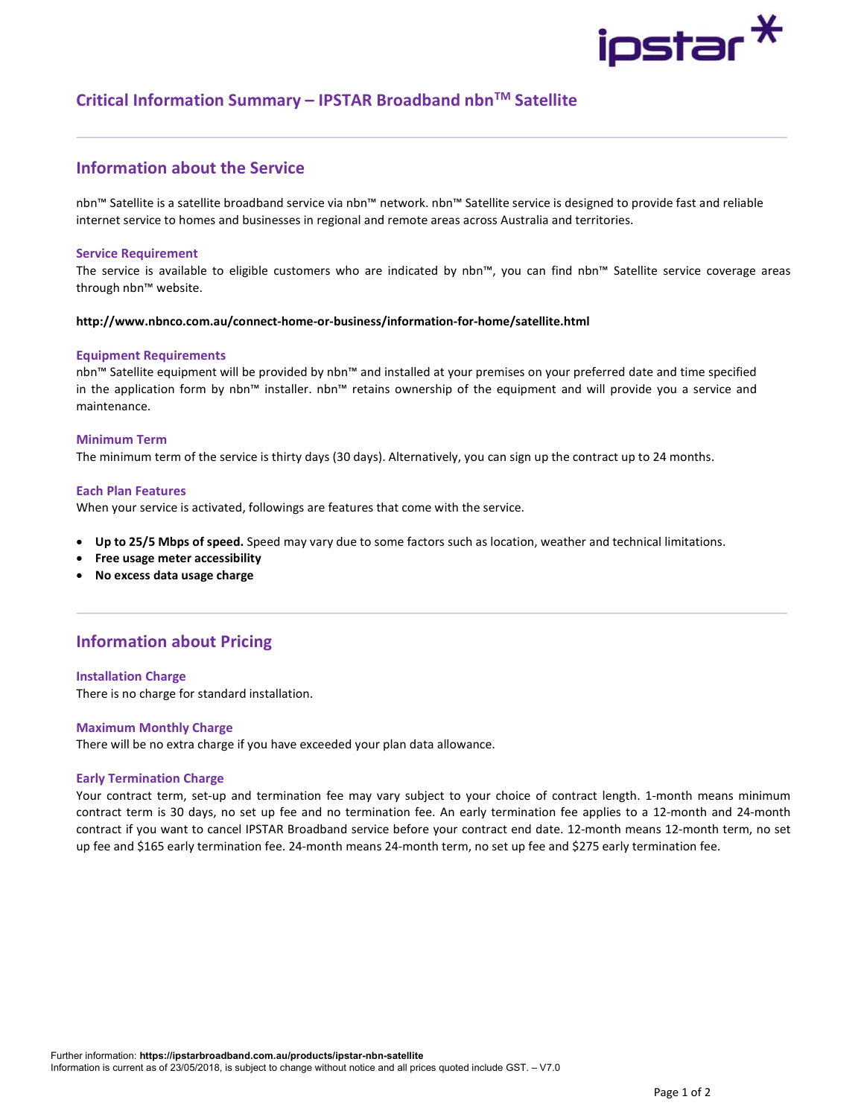# ipstar <sup>X</sup>

# Critical Information Summary – IPSTAR Broadband nbn™ Satellite

# Information about the Service

nbn™ Satellite is a satellite broadband service via nbn™ network. nbn™ Satellite service is designed to provide fast and reliable internet service to homes and businesses in regional and remote areas across Australia and territories.

## Service Requirement

The service is available to eligible customers who are indicated by nbn™, you can find nbn™ Satellite service coverage areas through nbn™ website.

## http://www.nbnco.com.au/connect-home-or-business/information-for-home/satellite.html

## Equipment Requirements

nbn™ Satellite equipment will be provided by nbn™ and installed at your premises on your preferred date and time specified in the application form by nbn™ installer. nbn™ retains ownership of the equipment and will provide you a service and maintenance.

## Minimum Term

The minimum term of the service is thirty days (30 days). Alternatively, you can sign up the contract up to 24 months.

## Each Plan Features

When your service is activated, followings are features that come with the service.

- Up to 25/5 Mbps of speed. Speed may vary due to some factors such as location, weather and technical limitations.
- Free usage meter accessibility
- No excess data usage charge

# Information about Pricing

#### Installation Charge

There is no charge for standard installation.

# Maximum Monthly Charge

There will be no extra charge if you have exceeded your plan data allowance.

# Early Termination Charge

Your contract term, set-up and termination fee may vary subject to your choice of contract length. 1-month means minimum contract term is 30 days, no set up fee and no termination fee. An early termination fee applies to a 12-month and 24-month contract if you want to cancel IPSTAR Broadband service before your contract end date. 12-month means 12-month term, no set up fee and \$165 early termination fee. 24-month means 24-month term, no set up fee and \$275 early termination fee.